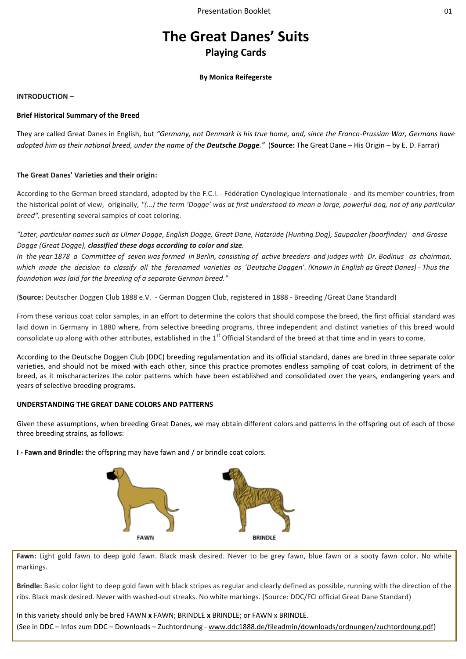# **The Great Danes' Suits Playing Cards**

## **By Monica Reifegerste**

## **INTRODUCTION –**

## **Brief Historical Summary of the Breed**

They are called Great Danes in English, but *"Germany, not Denmark is his true home, and, since the Franco-Prussian War, Germans have adopted him as their national breed, under the name of the Deutsche Dogge."* (**Source:** The Great Dane – His Origin – by E. D. Farrar)

## **The Great Danes' Varieties and their origin:**

According to the German breed standard, adopted by the F.C.I. - Fédération Cynologique Internationale - and its member countries, from the historical point of view, originally, *"(...) the term 'Dogge' was at first understood to mean a large, powerful dog, not of any particular breed",* presenting several samples of coat coloring.

*"Later, particular names such as Ulmer Dogge, English Dogge, Great Dane, Hatzrüde (Hunting Dog), Saupacker (boarfinder) and Grosse Dogge (Great Dogge), classified these dogs according to color and size.* 

*In the year 1878 a Committee of seven was formed in Berlin, consisting of active breeders and judges with Dr. Bodinus as chairman, which made the decision to classify all the forenamed varieties as 'Deutsche Doggen'. (Known in English as Great Danes) - Thus the foundation was laid for the breeding of a separate German breed."*

(**Source:** Deutscher Doggen Club 1888 e.V. - German Doggen Club, registered in 1888 - Breeding /Great Dane Standard)

From these various coat color samples, in an effort to determine the colors that should compose the breed, the first official standard was laid down in Germany in 1880 where, from selective breeding programs, three independent and distinct varieties of this breed would consolidate up along with other attributes, established in the  $1^{\text{st}}$  Official Standard of the breed at that time and in years to come.

According to the Deutsche Doggen Club (DDC) breeding regulamentation and its official standard, danes are bred in three separate color varieties, and should not be mixed with each other, since this practice promotes endless sampling of coat colors, in detriment of the breed, as it mischaracterizes the color patterns which have been established and consolidated over the years, endangering years and years of selective breeding programs.

### **UNDERSTANDING THE GREAT DANE COLORS AND PATTERNS**

Given these assumptions, when breeding Great Danes, we may obtain different colors and patterns in the offspring out of each of those three breeding strains, as follows:

**I - Fawn and Brindle:** the offspring may have fawn and / or brindle coat colors.



Fawn: Light gold fawn to deep gold fawn. Black mask desired. Never to be grey fawn, blue fawn or a sooty fawn color. No white markings.

**Brindle:** Basic color light to deep gold fawn with black stripes as regular and clearly defined as possible, running with the direction of the ribs. Black mask desired. Never with washed-out streaks. No white markings. (Source: DDC/FCI official Great Dane Standard)

In this variety should only be bred FAWN **x** FAWN; BRINDLE **x** BRINDLE; or FAWN x BRINDLE. (See in DDC – Infos zum DDC – Downloads – Zuchtordnung - [www.ddc1888.de/fileadmin/downloads/ordnungen/zuchtordnung.pdf\)](http://www.ddc1888.de/fileadmin/downloads/ordnungen/zuchtordnung.pdf)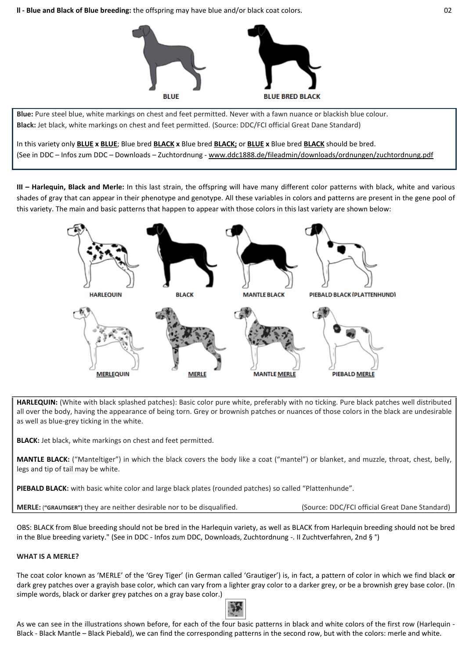**ll - Blue and Black of Blue breeding:** the offspring may have blue and/or black coat colors. 02



**Blue:** Pure steel blue, white markings on chest and feet permitted. Never with a fawn nuance or blackish blue colour. **Black:** Jet black, white markings on chest and feet permitted. (Source: DDC/FCI official Great Dane Standard)

In this variety only **BLUE x BLUE**; Blue bred **BLACK x** Blue bred **BLACK;** or **BLUE x** Blue bred **BLACK** should be bred. (See in DDC – Infos zum DDC – Downloads – Zuchtordnung - [www.ddc1888.de/fileadmin/downloads/ordnungen/zuchtordnung.pdf](http://www.ddc1888.de/fileadmin/downloads/ordnungen/zuchtordnung.pdf)

**III – Harlequin, Black and Merle:** In this last strain, the offspring will have many different color patterns with black, white and various shades of gray that can appear in their phenotype and genotype. All these variables in colors and patterns are present in the gene pool of this variety. The main and basic patterns that happen to appear with those colors in this last variety are shown below:



**HARLEQUIN:** (White with black splashed patches): Basic color pure white, preferably with no ticking. Pure black patches well distributed all over the body, having the appearance of being torn. Grey or brownish patches or nuances of those colors in the black are undesirable as well as blue-grey ticking in the white.

**BLACK:** Jet black, white markings on chest and feet permitted.

**MANTLE BLACK:** ("Manteltiger") in which the black covers the body like a coat ("mantel") or blanket, and muzzle, throat, chest, belly, legs and tip of tail may be white.

**PIEBALD BLACK:** with basic white color and large black plates (rounded patches) so called "Plattenhunde".

**MERLE:** ("GRAUTIGER") they are neither desirable nor to be disqualified. (Source: DDC/FCI official Great Dane Standard)

OBS: BLACK from Blue breeding should not be bred in the Harlequin variety, as well as BLACK from Harlequin breeding should not be bred in the Blue breeding variety." (See in DDC - Infos zum DDC, Downloads, Zuchtordnung -. II Zuchtverfahren, 2nd § °)

## **WHAT IS A MERLE?**

The coat color known as 'MERLE' of the 'Grey Tiger' (in German called 'Grautiger') is, in fact, a pattern of color in which we find black **or** dark grey patches over a grayish base color, which can vary from a lighter gray color to a darker grey, or be a brownish grey base color. (In simple words, black or darker grey patches on a gray base color.)



As we can see in the illustrations shown before, for each of the four basic patterns in black and white colors of the first row (Harlequin - Black - Black Mantle – Black Piebald), we can find the corresponding patterns in the second row, but with the colors: merle and white.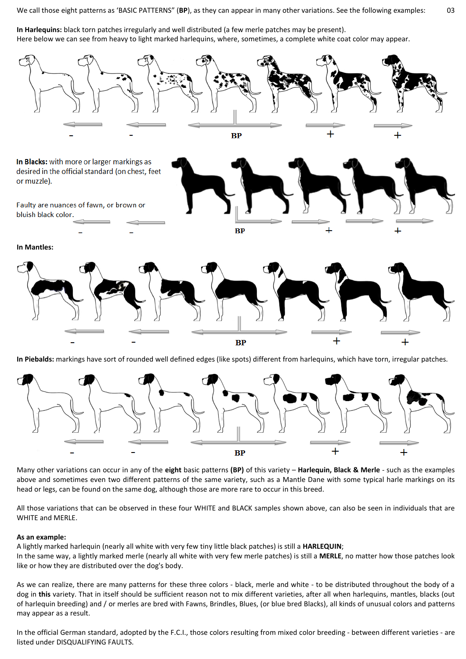We call those eight patterns as 'BASIC PATTERNS" (**BP**), as they can appear in many other variations. See the following examples: 03

**In Harlequins:** black torn patches irregularly and well distributed (a few merle patches may be present). Here below we can see from heavy to light marked harlequins, where, sometimes, a complete white coat color may appear.



**In Piebalds:** markings have sort of rounded well defined edges (like spots) different from harlequins, which have torn, irregular patches.



Many other variations can occur in any of the **eight** basic patterns **(BP)** of this variety – **Harlequin, Black & Merle** - such as the examples above and sometimes even two different patterns of the same variety, such as a Mantle Dane with some typical harle markings on its head or legs, can be found on the same dog, although those are more rare to occur in this breed.

All those variations that can be observed in these four WHITE and BLACK samples shown above, can also be seen in individuals that are WHITE and MERLE.

### **As an example:**

A lightly marked harlequin (nearly all white with very few tiny little black patches) is still a **HARLEQUIN**; In the same way, a lightly marked merle (nearly all white with very few merle patches) is still a **MERLE**, no matter how those patches look like or how they are distributed over the dog's body.

As we can realize, there are many patterns for these three colors - black, merle and white - to be distributed throughout the body of a dog in **this** variety. That in itself should be sufficient reason not to mix different varieties, after all when harlequins, mantles, blacks (out of harlequin breeding) and / or merles are bred with Fawns, Brindles, Blues, (or blue bred Blacks), all kinds of unusual colors and patterns may appear as a result.

In the official German standard, adopted by the F.C.I., those colors resulting from mixed color breeding - between different varieties - are listed under DISQUALIFYING FAULTS.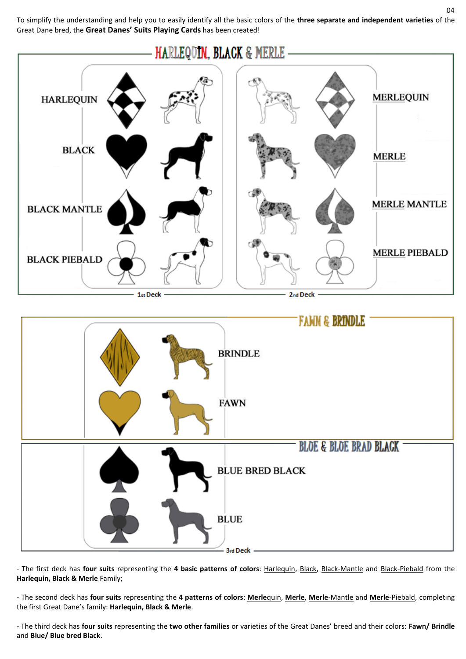To simplify the understanding and help you to easily identify all the basic colors of the **three separate and independent varieties** of the Great Dane bred, the **Great Danes' Suits Playing Cards** has been created!





- The first deck has **four suits** representing the **4 basic patterns of colors**: Harlequin, Black, Black-Mantle and Black-Piebald from the **Harlequin, Black & Merle** Family;

- The second deck has **four suits** representing the **4 patterns of colors**: **Merle**quin, **Merle**, **Merle**-Mantle and **Merle**-Piebald, completing the first Great Dane's family: **Harlequin, Black & Merle**.

- The third deck has **four suits** representing the **two other families** or varieties of the Great Danes' breed and their colors: **Fawn/ Brindle** and **Blue/ Blue bred Black**.